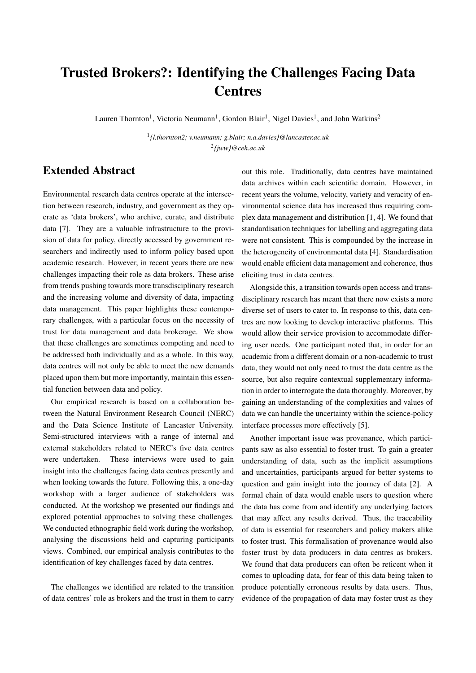## Trusted Brokers?: Identifying the Challenges Facing Data **Centres**

Lauren Thornton<sup>1</sup>, Victoria Neumann<sup>1</sup>, Gordon Blair<sup>1</sup>, Nigel Davies<sup>1</sup>, and John Watkins<sup>2</sup>

1 *{l.thornton2; v.neumann; g.blair; n.a.davies}@lancaster.ac.uk* 2 *{jww}@ceh.ac.uk*

## Extended Abstract

Environmental research data centres operate at the intersection between research, industry, and government as they operate as 'data brokers', who archive, curate, and distribute data [7]. They are a valuable infrastructure to the provision of data for policy, directly accessed by government researchers and indirectly used to inform policy based upon academic research. However, in recent years there are new challenges impacting their role as data brokers. These arise from trends pushing towards more transdisciplinary research and the increasing volume and diversity of data, impacting data management. This paper highlights these contemporary challenges, with a particular focus on the necessity of trust for data management and data brokerage. We show that these challenges are sometimes competing and need to be addressed both individually and as a whole. In this way, data centres will not only be able to meet the new demands placed upon them but more importantly, maintain this essential function between data and policy.

Our empirical research is based on a collaboration between the Natural Environment Research Council (NERC) and the Data Science Institute of Lancaster University. Semi-structured interviews with a range of internal and external stakeholders related to NERC's five data centres were undertaken. These interviews were used to gain insight into the challenges facing data centres presently and when looking towards the future. Following this, a one-day workshop with a larger audience of stakeholders was conducted. At the workshop we presented our findings and explored potential approaches to solving these challenges. We conducted ethnographic field work during the workshop, analysing the discussions held and capturing participants views. Combined, our empirical analysis contributes to the identification of key challenges faced by data centres.

The challenges we identified are related to the transition of data centres' role as brokers and the trust in them to carry

out this role. Traditionally, data centres have maintained data archives within each scientific domain. However, in recent years the volume, velocity, variety and veracity of environmental science data has increased thus requiring complex data management and distribution [1, 4]. We found that standardisation techniques for labelling and aggregating data were not consistent. This is compounded by the increase in the heterogeneity of environmental data [4]. Standardisation would enable efficient data management and coherence, thus eliciting trust in data centres.

Alongside this, a transition towards open access and transdisciplinary research has meant that there now exists a more diverse set of users to cater to. In response to this, data centres are now looking to develop interactive platforms. This would allow their service provision to accommodate differing user needs. One participant noted that, in order for an academic from a different domain or a non-academic to trust data, they would not only need to trust the data centre as the source, but also require contextual supplementary information in order to interrogate the data thoroughly. Moreover, by gaining an understanding of the complexities and values of data we can handle the uncertainty within the science-policy interface processes more effectively [5].

Another important issue was provenance, which participants saw as also essential to foster trust. To gain a greater understanding of data, such as the implicit assumptions and uncertainties, participants argued for better systems to question and gain insight into the journey of data [2]. A formal chain of data would enable users to question where the data has come from and identify any underlying factors that may affect any results derived. Thus, the traceability of data is essential for researchers and policy makers alike to foster trust. This formalisation of provenance would also foster trust by data producers in data centres as brokers. We found that data producers can often be reticent when it comes to uploading data, for fear of this data being taken to produce potentially erroneous results by data users. Thus, evidence of the propagation of data may foster trust as they